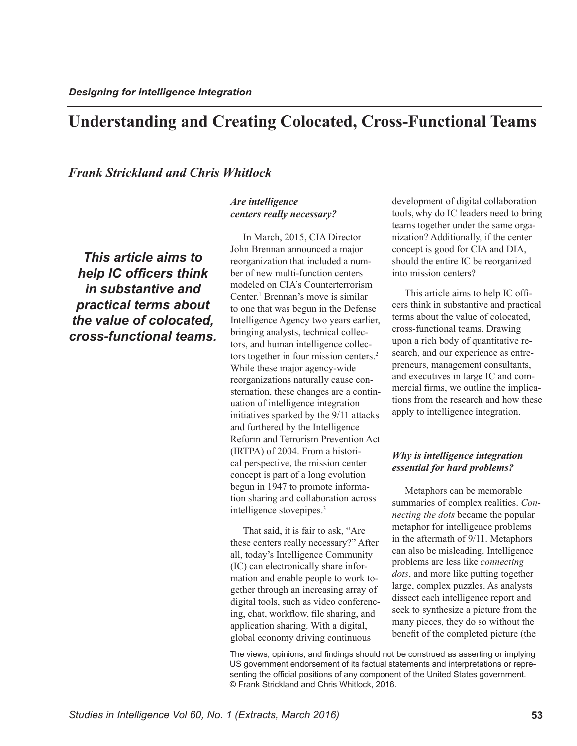# **Understanding and Creating Colocated, Cross-Functional Teams**

*Frank Strickland and Chris Whitlock*

### *Are intelligence centers really necessary?*

*This article aims to help IC officers think in substantive and practical terms about the value of colocated, cross-functional teams.* 

In March, 2015, CIA Director John Brennan announced a major reorganization that included a number of new multi-function centers modeled on CIA's Counterterrorism Center.<sup>1</sup>Brennan's move is similar to one that was begun in the Defense Intelligence Agency two years earlier, bringing analysts, technical collectors, and human intelligence collectors together in four mission centers. [2](#page-5-1) While these major agency-wide reorganizations naturally cause consternation, these changes are a continuation of intelligence integration initiatives sparked by the 9/11 attacks and furthered by the Intelligence Reform and Terrorism Prevention Act (IRTPA) of 2004. From a historical perspective, the mission center concept is part of a long evolution begun in 1947 to promote information sharing and collaboration across intelligence stovepipes[.3](#page-5-2)

That said, it is fair to ask, "Are these centers really necessary?" After all, today's Intelligence Community (IC) can electronically share information and enable people to work together through an increasing array of digital tools, such as video conferencing, chat, workflow, file sharing, and application sharing. With a digital, global economy driving continuous

development of digital collaboration tools, why do IC leaders need to bring teams together under the same organization? Additionally, if the center concept is good for CIA and DIA, should the entire IC be reorganized into mission centers?

This article aims to help IC officers think in substantive and practical terms about the value of colocated, cross-functional teams. Drawing upon a rich body of quantitative research, and our experience as entrepreneurs, management consultants, and executives in large IC and commercial firms, we outline the implications from the research and how these apply to intelligence integration.

### *Why is intelligence integration essential for hard problems?*

Metaphors can be memorable summaries of complex realities. *Connecting the dots* became the popular metaphor for intelligence problems in the aftermath of 9/11. Metaphors can also be misleading. Intelligence problems are less like *connecting dots*, and more like putting together large, complex puzzles. As analysts dissect each intelligence report and seek to synthesize a picture from the many pieces, they do so without the benefit of the completed picture (the

The views, opinions, and findings should not be construed as asserting or implying US government endorsement of its factual statements and interpretations or representing the official positions of any component of the United States government. © Frank Strickland and Chris Whitlock, 2016.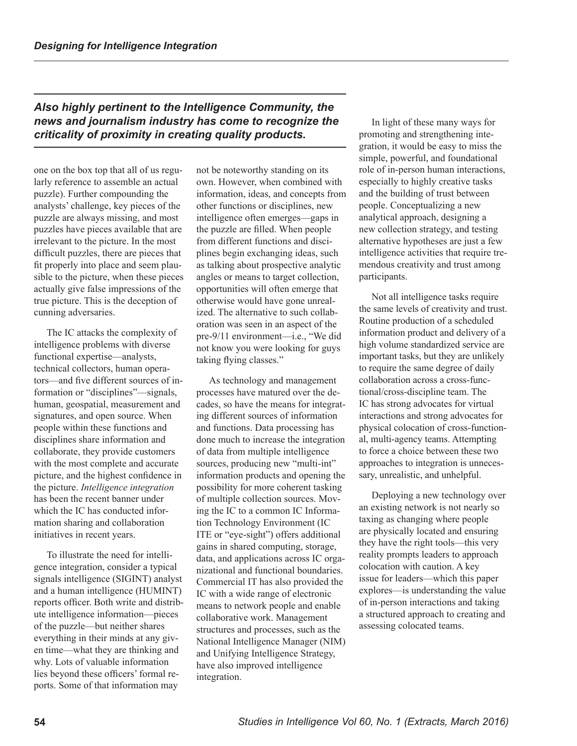## *Also highly pertinent to the Intelligence Community, the news and journalism industry has come to recognize the criticality of proximity in creating quality products.*

one on the box top that all of us regularly reference to assemble an actual puzzle). Further compounding the analysts' challenge, key pieces of the puzzle are always missing, and most puzzles have pieces available that are irrelevant to the picture. In the most difficult puzzles, there are pieces that fit properly into place and seem plausible to the picture, when these pieces actually give false impressions of the true picture. This is the deception of cunning adversaries.

The IC attacks the complexity of intelligence problems with diverse functional expertise—analysts, technical collectors, human operators—and five different sources of information or "disciplines"—signals, human, geospatial, measurement and signatures, and open source. When people within these functions and disciplines share information and collaborate, they provide customers with the most complete and accurate picture, and the highest confidence in the picture. *Intelligence integration* has been the recent banner under which the IC has conducted information sharing and collaboration initiatives in recent years.

To illustrate the need for intelligence integration, consider a typical signals intelligence (SIGINT) analyst and a human intelligence (HUMINT) reports officer. Both write and distribute intelligence information—pieces of the puzzle—but neither shares everything in their minds at any given time—what they are thinking and why. Lots of valuable information lies beyond these officers' formal reports. Some of that information may

not be noteworthy standing on its own. However, when combined with information, ideas, and concepts from other functions or disciplines, new intelligence often emerges—gaps in the puzzle are filled. When people from different functions and disciplines begin exchanging ideas, such as talking about prospective analytic angles or means to target collection, opportunities will often emerge that otherwise would have gone unrealized. The alternative to such collaboration was seen in an aspect of the pre-9/11 environment—i.e., "We did not know you were looking for guys taking flying classes."

As technology and management processes have matured over the decades, so have the means for integrating different sources of information and functions. Data processing has done much to increase the integration of data from multiple intelligence sources, producing new "multi-int" information products and opening the possibility for more coherent tasking of multiple collection sources. Moving the IC to a common IC Information Technology Environment (IC ITE or "eye-sight") offers additional gains in shared computing, storage, data, and applications across IC organizational and functional boundaries. Commercial IT has also provided the IC with a wide range of electronic means to network people and enable collaborative work. Management structures and processes, such as the National Intelligence Manager (NIM) and Unifying Intelligence Strategy, have also improved intelligence integration.

In light of these many ways for promoting and strengthening integration, it would be easy to miss the simple, powerful, and foundational role of in-person human interactions, especially to highly creative tasks and the building of trust between people. Conceptualizing a new analytical approach, designing a new collection strategy, and testing alternative hypotheses are just a few intelligence activities that require tremendous creativity and trust among participants.

Not all intelligence tasks require the same levels of creativity and trust. Routine production of a scheduled information product and delivery of a high volume standardized service are important tasks, but they are unlikely to require the same degree of daily collaboration across a cross-functional/cross-discipline team. The IC has strong advocates for virtual interactions and strong advocates for physical colocation of cross-functional, multi-agency teams. Attempting to force a choice between these two approaches to integration is unnecessary, unrealistic, and unhelpful.

Deploying a new technology over an existing network is not nearly so taxing as changing where people are physically located and ensuring they have the right tools—this very reality prompts leaders to approach colocation with caution. A key issue for leaders—which this paper explores—is understanding the value of in-person interactions and taking a structured approach to creating and assessing colocated teams.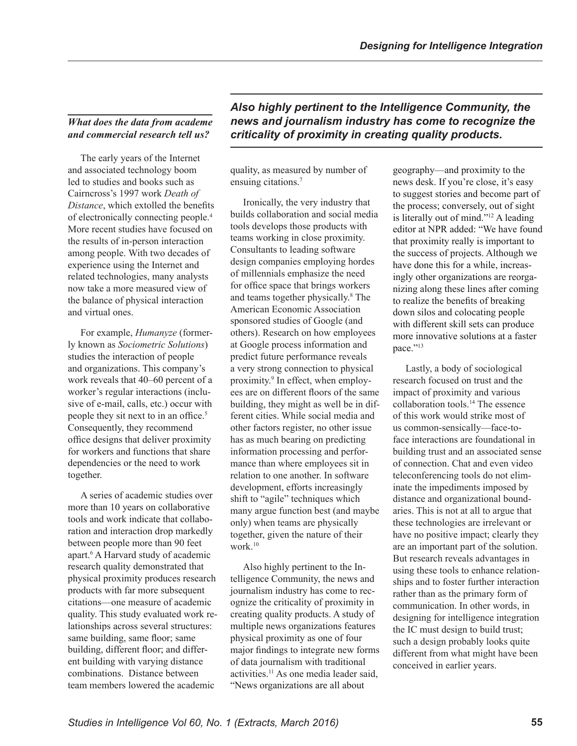## *What does the data from academe and commercial research tell us?*

The early years of the Internet and associated technology boom led to studies and books such as Cairncross's 1997 work *Death of Distance*, which extolled the benefits of electronically connecting people. [4](#page-5-3) More recent studies have focused on the results of in-person interaction among people. With two decades of experience using the Internet and related technologies, many analysts now take a more measured view of the balance of physical interaction and virtual ones.

For example, *Humanyze* (formerly known as *Sociometric Solutions*) studies the interaction of people and organizations. This company's work reveals that 40–60 percent of a worker's regular interactions (inclusive of e-mail, calls, etc.) occur with people they sit next to in an office. [5](#page-5-4) Consequently, they recommend office designs that deliver proximity for workers and functions that share dependencies or the need to work together.

A series of academic studies over more than 10 years on collaborative tools and work indicate that collaboration and interaction drop markedly between people more than 90 feet apart.<sup>6</sup>A Harvard study of academic research quality demonstrated that physical proximity produces research products with far more subsequent citations—one measure of academic quality. This study evaluated work relationships across several structures: same building, same floor; same building, different floor; and different building with varying distance combinations. Distance between team members lowered the academic

*Also highly pertinent to the Intelligence Community, the news and journalism industry has come to recognize the criticality of proximity in creating quality products.* 

quality, as measured by number of ensuing citations.<sup>7</sup>

Ironically, the very industry that builds collaboration and social media tools develops those products with teams working in close proximity. Consultants to leading software design companies employing hordes of millennials emphasize the need for office space that brings workers andteams together physically.<sup>8</sup> The American Economic Association sponsored studies of Google (and others). Research on how employees at Google process information and predict future performance reveals a very strong connection to physical proximity.<sup>9</sup>In effect, when employees are on different floors of the same building, they might as well be in different cities. While social media and other factors register, no other issue has as much bearing on predicting information processing and performance than where employees sit in relation to one another. In software development, efforts increasingly shift to "agile" techniques which many argue function best (and maybe only) when teams are physically together, given the nature of their work.[10](#page-5-9)

Also highly pertinent to the Intelligence Community, the news and journalism industry has come to recognize the criticality of proximity in creating quality products. A study of multiple news organizations features physical proximity as one of four major findings to integrate new forms of data journalism with traditional activities.<sup>11</sup> As one media leader said, "News organizations are all about

geography—and proximity to the news desk. If you're close, it's easy to suggest stories and become part of the process; conversely, out of sight is literally out of mind.["](#page-5-11) $^{12}$  A leading editor at NPR added: "We have found that proximity really is important to the success of projects. Although we have done this for a while, increasingly other organizations are reorganizing along these lines after coming to realize the benefits of breaking down silos and colocating people with different skill sets can produce more innovative solutions at a faster pace."[13](#page-5-12)

Lastly, a body of sociological research focused on trust and the impact of proximity and various collaboration tools[.](#page-5-13)<sup>14</sup> The essence of this work would strike most of us common-sensically—face-toface interactions are foundational in building trust and an associated sense of connection. Chat and even video teleconferencing tools do not eliminate the impediments imposed by distance and organizational boundaries. This is not at all to argue that these technologies are irrelevant or have no positive impact; clearly they are an important part of the solution. But research reveals advantages in using these tools to enhance relationships and to foster further interaction rather than as the primary form of communication. In other words, in designing for intelligence integration the IC must design to build trust; such a design probably looks quite different from what might have been conceived in earlier years.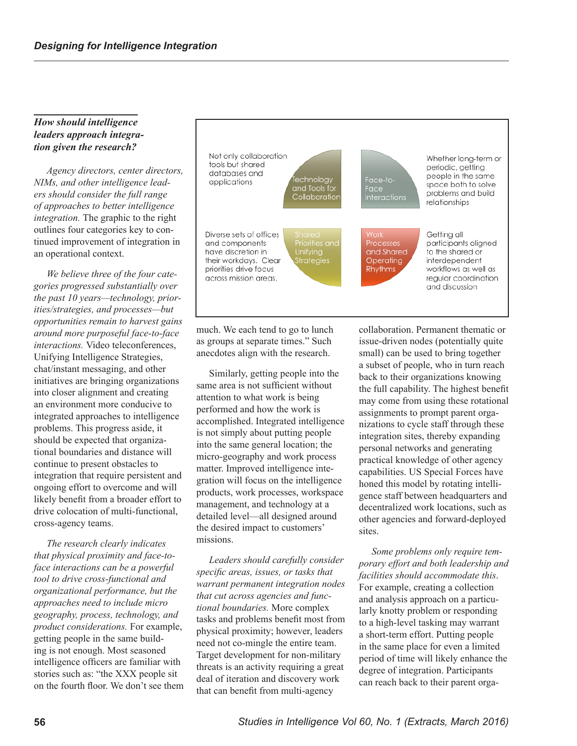#### *How should intelligence leaders approach integration given the research?*

*Agency directors, center directors, NIMs, and other intelligence leaders should consider the full range of approaches to better intelligence integration.* The graphic to the right outlines four categories key to continued improvement of integration in an operational context.

*We believe three of the four categories progressed substantially over the past 10 years—technology, priorities/strategies, and processes—but opportunities remain to harvest gains around more purposeful face-to-face interactions.* Video teleconferences, Unifying Intelligence Strategies, chat/instant messaging, and other initiatives are bringing organizations into closer alignment and creating an environment more conducive to integrated approaches to intelligence problems. This progress aside, it should be expected that organizational boundaries and distance will continue to present obstacles to integration that require persistent and ongoing effort to overcome and will likely benefit from a broader effort to drive colocation of multi-functional, cross-agency teams.

*The research clearly indicates that physical proximity and face-toface interactions can be a powerful tool to drive cross-functional and organizational performance, but the approaches need to include micro geography, process, technology, and product considerations.* For example, getting people in the same building is not enough. Most seasoned intelligence officers are familiar with stories such as: "the XXX people sit on the fourth floor. We don't see them



much. We each tend to go to lunch as groups at separate times." Such anecdotes align with the research.

Similarly, getting people into the same area is not sufficient without attention to what work is being performed and how the work is accomplished. Integrated intelligence is not simply about putting people into the same general location; the micro-geography and work process matter. Improved intelligence integration will focus on the intelligence products, work processes, workspace management, and technology at a detailed level—all designed around the desired impact to customers' missions.

*Leaders should carefully consider specific areas, issues, or tasks that warrant permanent integration nodes that cut across agencies and functional boundaries.* More complex tasks and problems benefit most from physical proximity; however, leaders need not co-mingle the entire team. Target development for non-military threats is an activity requiring a great deal of iteration and discovery work that can benefit from multi-agency

collaboration. Permanent thematic or issue-driven nodes (potentially quite small) can be used to bring together a subset of people, who in turn reach back to their organizations knowing the full capability. The highest benefit may come from using these rotational assignments to prompt parent organizations to cycle staff through these integration sites, thereby expanding personal networks and generating practical knowledge of other agency capabilities. US Special Forces have honed this model by rotating intelligence staff between headquarters and decentralized work locations, such as other agencies and forward-deployed sites.

*Some problems only require temporary effort and both leadership and facilities should accommodate this*. For example, creating a collection and analysis approach on a particularly knotty problem or responding to a high-level tasking may warrant a short-term effort. Putting people in the same place for even a limited period of time will likely enhance the degree of integration. Participants can reach back to their parent orga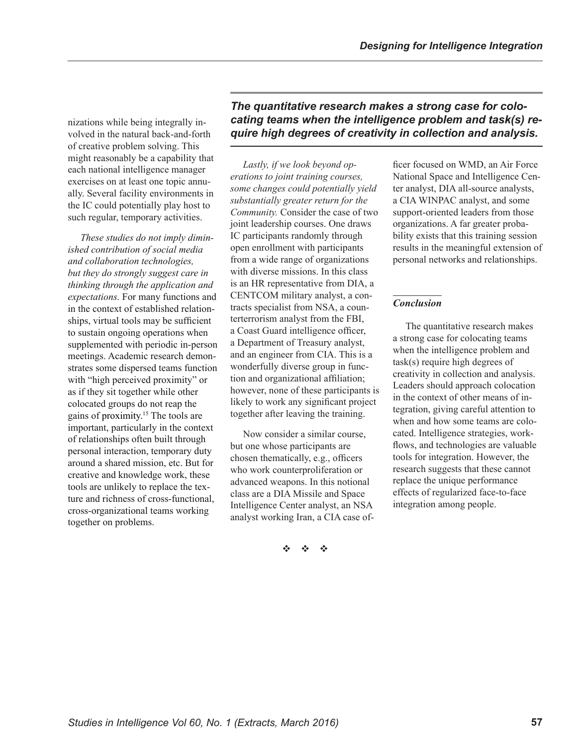nizations while being integrally involved in the natural back-and-forth of creative problem solving. This might reasonably be a capability that each national intelligence manager exercises on at least one topic annually. Several facility environments in the IC could potentially play host to such regular, temporary activities.

*These studies do not imply diminished contribution of social media and collaboration technologies, but they do strongly suggest care in thinking through the application and expectations.* For many functions and in the context of established relationships, virtual tools may be sufficient to sustain ongoing operations when supplemented with periodic in-person meetings. Academic research demonstrates some dispersed teams function with "high perceived proximity" or as if they sit together while other colocated groups do not reap the gainsof proximity.<sup>15</sup> The tools are important, particularly in the context of relationships often built through personal interaction, temporary duty around a shared mission, etc. But for creative and knowledge work, these tools are unlikely to replace the texture and richness of cross-functional, cross-organizational teams working together on problems.

*The quantitative research makes a strong case for colocating teams when the intelligence problem and task(s) require high degrees of creativity in collection and analysis.* 

*Lastly, if we look beyond operations to joint training courses, some changes could potentially yield substantially greater return for the Community.* Consider the case of two joint leadership courses. One draws IC participants randomly through open enrollment with participants from a wide range of organizations with diverse missions. In this class is an HR representative from DIA, a CENTCOM military analyst, a contracts specialist from NSA, a counterterrorism analyst from the FBI, a Coast Guard intelligence officer, a Department of Treasury analyst, and an engineer from CIA. This is a wonderfully diverse group in function and organizational affiliation; however, none of these participants is likely to work any significant project together after leaving the training.

Now consider a similar course, but one whose participants are chosen thematically, e.g., officers who work counterproliferation or advanced weapons. In this notional class are a DIA Missile and Space Intelligence Center analyst, an NSA analyst working Iran, a CIA case of-

v v v

ficer focused on WMD, an Air Force National Space and Intelligence Center analyst, DIA all-source analysts, a CIA WINPAC analyst, and some support-oriented leaders from those organizations. A far greater probability exists that this training session results in the meaningful extension of personal networks and relationships.

### *Conclusion*

The quantitative research makes a strong case for colocating teams when the intelligence problem and task(s) require high degrees of creativity in collection and analysis. Leaders should approach colocation in the context of other means of integration, giving careful attention to when and how some teams are colocated. Intelligence strategies, workflows, and technologies are valuable tools for integration. However, the research suggests that these cannot replace the unique performance effects of regularized face-to-face integration among people.